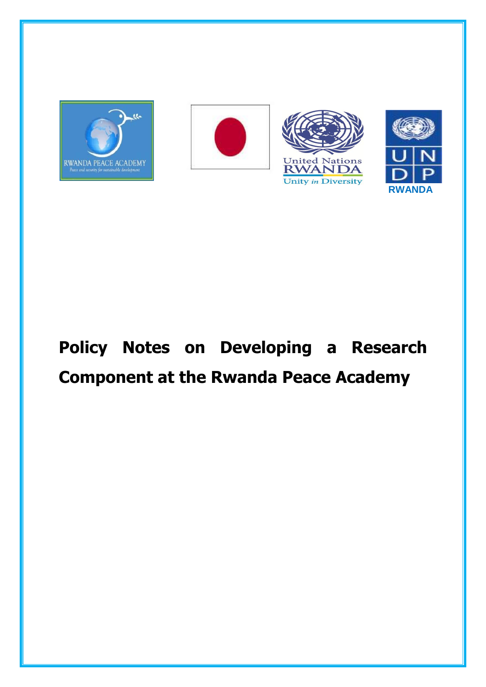







# **Policy Notes on Developing a Research Component at the Rwanda Peace Academy**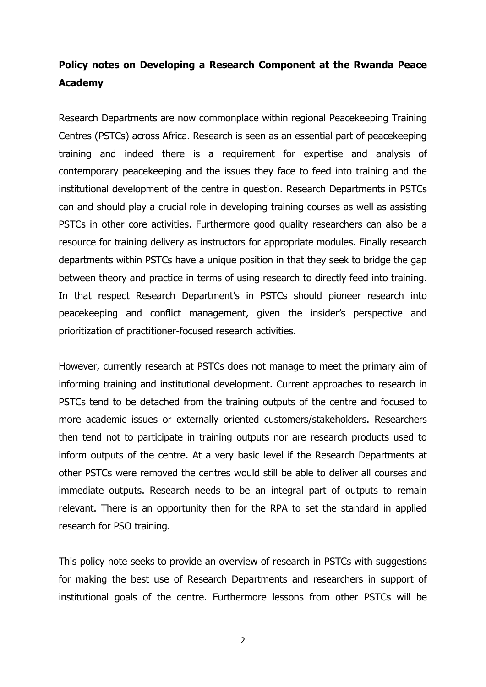# **Policy notes on Developing a Research Component at the Rwanda Peace Academy**

Research Departments are now commonplace within regional Peacekeeping Training Centres (PSTCs) across Africa. Research is seen as an essential part of peacekeeping training and indeed there is a requirement for expertise and analysis of contemporary peacekeeping and the issues they face to feed into training and the institutional development of the centre in question. Research Departments in PSTCs can and should play a crucial role in developing training courses as well as assisting PSTCs in other core activities. Furthermore good quality researchers can also be a resource for training delivery as instructors for appropriate modules. Finally research departments within PSTCs have a unique position in that they seek to bridge the gap between theory and practice in terms of using research to directly feed into training. In that respect Research Department's in PSTCs should pioneer research into peacekeeping and conflict management, given the insider's perspective and prioritization of practitioner-focused research activities.

However, currently research at PSTCs does not manage to meet the primary aim of informing training and institutional development. Current approaches to research in PSTCs tend to be detached from the training outputs of the centre and focused to more academic issues or externally oriented customers/stakeholders. Researchers then tend not to participate in training outputs nor are research products used to inform outputs of the centre. At a very basic level if the Research Departments at other PSTCs were removed the centres would still be able to deliver all courses and immediate outputs. Research needs to be an integral part of outputs to remain relevant. There is an opportunity then for the RPA to set the standard in applied research for PSO training.

This policy note seeks to provide an overview of research in PSTCs with suggestions for making the best use of Research Departments and researchers in support of institutional goals of the centre. Furthermore lessons from other PSTCs will be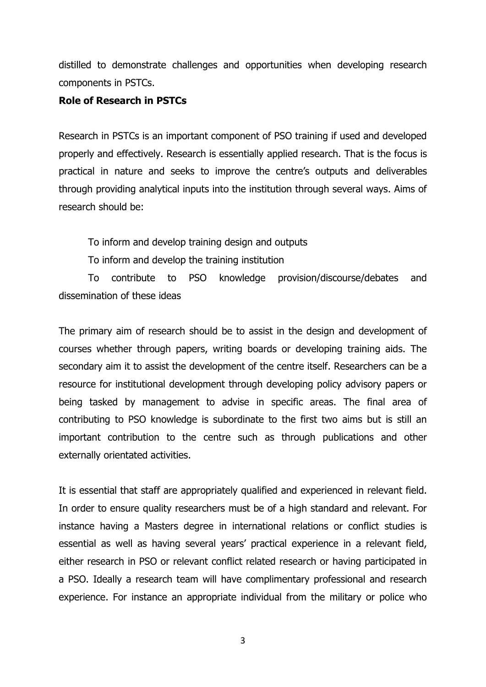distilled to demonstrate challenges and opportunities when developing research components in PSTCs.

#### **Role of Research in PSTCs**

Research in PSTCs is an important component of PSO training if used and developed properly and effectively. Research is essentially applied research. That is the focus is practical in nature and seeks to improve the centre's outputs and deliverables through providing analytical inputs into the institution through several ways. Aims of research should be:

To inform and develop training design and outputs

To inform and develop the training institution

To contribute to PSO knowledge provision/discourse/debates and dissemination of these ideas

The primary aim of research should be to assist in the design and development of courses whether through papers, writing boards or developing training aids. The secondary aim it to assist the development of the centre itself. Researchers can be a resource for institutional development through developing policy advisory papers or being tasked by management to advise in specific areas. The final area of contributing to PSO knowledge is subordinate to the first two aims but is still an important contribution to the centre such as through publications and other externally orientated activities.

It is essential that staff are appropriately qualified and experienced in relevant field. In order to ensure quality researchers must be of a high standard and relevant. For instance having a Masters degree in international relations or conflict studies is essential as well as having several years' practical experience in a relevant field, either research in PSO or relevant conflict related research or having participated in a PSO. Ideally a research team will have complimentary professional and research experience. For instance an appropriate individual from the military or police who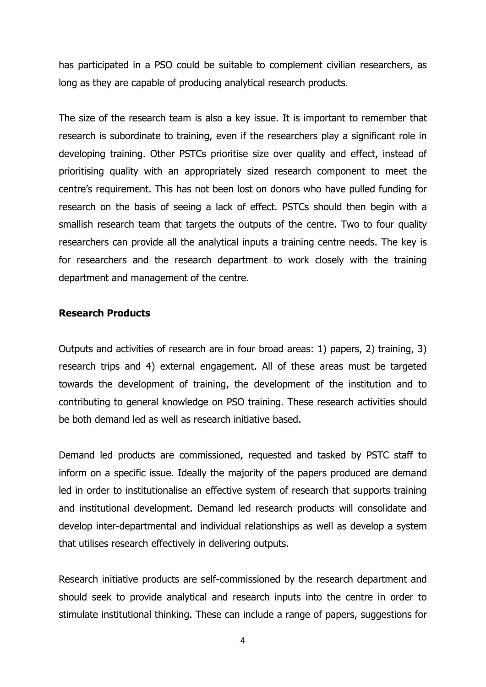has participated in a PSO could be suitable to complement civilian researchers, as long as they are capable of producing analytical research products.

The size of the research team is also a key issue. It is important to remember that research is subordinate to training, even if the researchers play a significant role in developing training. Other PSTCs prioritise size over quality and effect, instead of prioritising quality with an appropriately sized research component to meet the centre's requirement. This has not been lost on donors who have pulled funding for research on the basis of seeing a lack of effect. PSTCs should then begin with a smallish research team that targets the outputs of the centre. Two to four quality researchers can provide all the analytical inputs a training centre needs. The key is for researchers and the research department to work closely with the training department and management of the centre.

#### **Research Products**

Outputs and activities of research are in four broad areas: 1) papers, 2) training, 3) research trips and 4) external engagement. All of these areas must be targeted towards the development of training, the development of the institution and to contributing to general knowledge on PSO training. These research activities should be both demand led as well as research initiative based.

Demand led products are commissioned, requested and tasked by PSTC staff to inform on a specific issue. Ideally the majority of the papers produced are demand led in order to institutionalise an effective system of research that supports training and institutional development. Demand led research products will consolidate and develop inter-departmental and individual relationships as well as develop a system that utilises research effectively in delivering outputs.

Research initiative products are self-commissioned by the research department and should seek to provide analytical and research inputs into the centre in order to stimulate institutional thinking. These can include a range of papers, suggestions for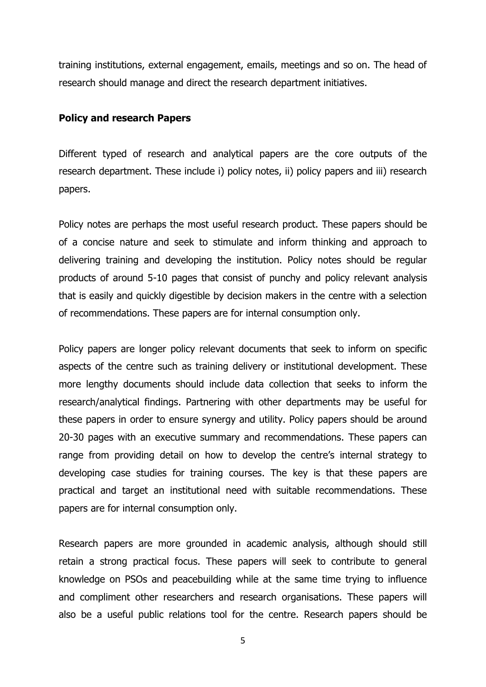training institutions, external engagement, emails, meetings and so on. The head of research should manage and direct the research department initiatives.

#### **Policy and research Papers**

Different typed of research and analytical papers are the core outputs of the research department. These include i) policy notes, ii) policy papers and iii) research papers.

Policy notes are perhaps the most useful research product. These papers should be of a concise nature and seek to stimulate and inform thinking and approach to delivering training and developing the institution. Policy notes should be regular products of around 5-10 pages that consist of punchy and policy relevant analysis that is easily and quickly digestible by decision makers in the centre with a selection of recommendations. These papers are for internal consumption only.

Policy papers are longer policy relevant documents that seek to inform on specific aspects of the centre such as training delivery or institutional development. These more lengthy documents should include data collection that seeks to inform the research/analytical findings. Partnering with other departments may be useful for these papers in order to ensure synergy and utility. Policy papers should be around 20-30 pages with an executive summary and recommendations. These papers can range from providing detail on how to develop the centre's internal strategy to developing case studies for training courses. The key is that these papers are practical and target an institutional need with suitable recommendations. These papers are for internal consumption only.

Research papers are more grounded in academic analysis, although should still retain a strong practical focus. These papers will seek to contribute to general knowledge on PSOs and peacebuilding while at the same time trying to influence and compliment other researchers and research organisations. These papers will also be a useful public relations tool for the centre. Research papers should be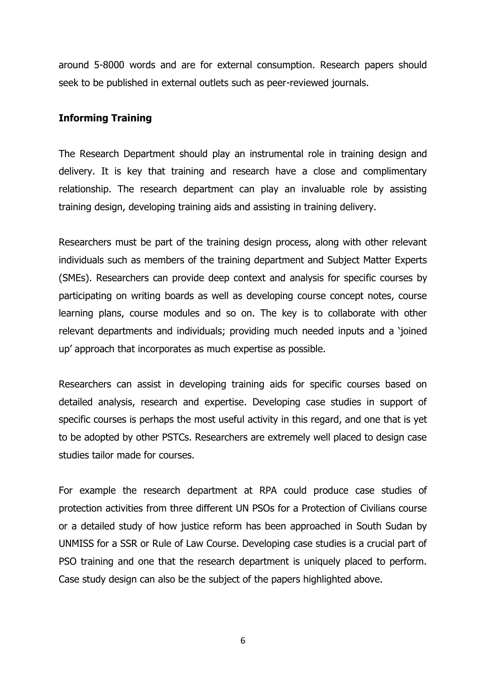around 5-8000 words and are for external consumption. Research papers should seek to be published in external outlets such as peer-reviewed journals.

### **Informing Training**

The Research Department should play an instrumental role in training design and delivery. It is key that training and research have a close and complimentary relationship. The research department can play an invaluable role by assisting training design, developing training aids and assisting in training delivery.

Researchers must be part of the training design process, along with other relevant individuals such as members of the training department and Subject Matter Experts (SMEs). Researchers can provide deep context and analysis for specific courses by participating on writing boards as well as developing course concept notes, course learning plans, course modules and so on. The key is to collaborate with other relevant departments and individuals; providing much needed inputs and a 'joined up' approach that incorporates as much expertise as possible.

Researchers can assist in developing training aids for specific courses based on detailed analysis, research and expertise. Developing case studies in support of specific courses is perhaps the most useful activity in this regard, and one that is yet to be adopted by other PSTCs. Researchers are extremely well placed to design case studies tailor made for courses.

For example the research department at RPA could produce case studies of protection activities from three different UN PSOs for a Protection of Civilians course or a detailed study of how justice reform has been approached in South Sudan by UNMISS for a SSR or Rule of Law Course. Developing case studies is a crucial part of PSO training and one that the research department is uniquely placed to perform. Case study design can also be the subject of the papers highlighted above.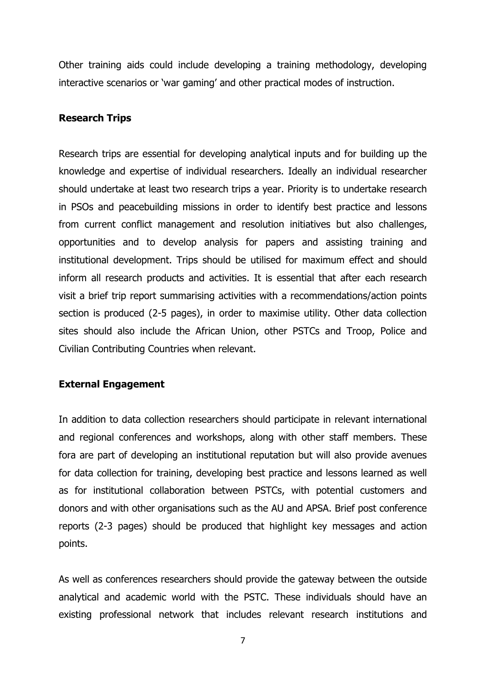Other training aids could include developing a training methodology, developing interactive scenarios or 'war gaming' and other practical modes of instruction.

#### **Research Trips**

Research trips are essential for developing analytical inputs and for building up the knowledge and expertise of individual researchers. Ideally an individual researcher should undertake at least two research trips a year. Priority is to undertake research in PSOs and peacebuilding missions in order to identify best practice and lessons from current conflict management and resolution initiatives but also challenges, opportunities and to develop analysis for papers and assisting training and institutional development. Trips should be utilised for maximum effect and should inform all research products and activities. It is essential that after each research visit a brief trip report summarising activities with a recommendations/action points section is produced (2-5 pages), in order to maximise utility. Other data collection sites should also include the African Union, other PSTCs and Troop, Police and Civilian Contributing Countries when relevant.

#### **External Engagement**

In addition to data collection researchers should participate in relevant international and regional conferences and workshops, along with other staff members. These fora are part of developing an institutional reputation but will also provide avenues for data collection for training, developing best practice and lessons learned as well as for institutional collaboration between PSTCs, with potential customers and donors and with other organisations such as the AU and APSA. Brief post conference reports (2-3 pages) should be produced that highlight key messages and action points.

As well as conferences researchers should provide the gateway between the outside analytical and academic world with the PSTC. These individuals should have an existing professional network that includes relevant research institutions and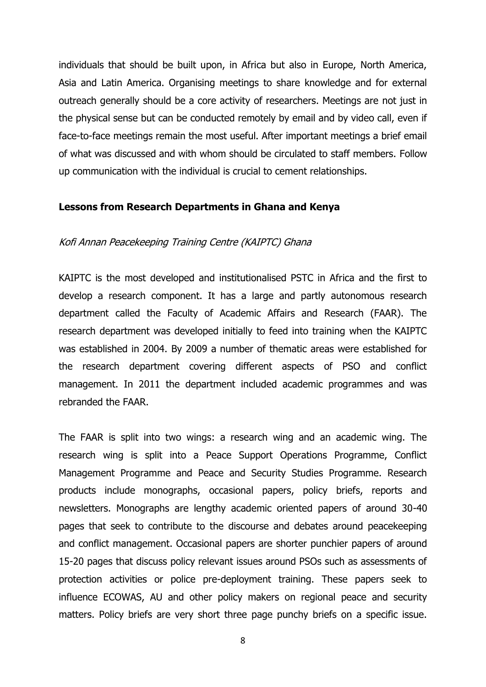individuals that should be built upon, in Africa but also in Europe, North America, Asia and Latin America. Organising meetings to share knowledge and for external outreach generally should be a core activity of researchers. Meetings are not just in the physical sense but can be conducted remotely by email and by video call, even if face-to-face meetings remain the most useful. After important meetings a brief email of what was discussed and with whom should be circulated to staff members. Follow up communication with the individual is crucial to cement relationships.

#### **Lessons from Research Departments in Ghana and Kenya**

#### Kofi Annan Peacekeeping Training Centre (KAIPTC) Ghana

KAIPTC is the most developed and institutionalised PSTC in Africa and the first to develop a research component. It has a large and partly autonomous research department called the Faculty of Academic Affairs and Research (FAAR). The research department was developed initially to feed into training when the KAIPTC was established in 2004. By 2009 a number of thematic areas were established for the research department covering different aspects of PSO and conflict management. In 2011 the department included academic programmes and was rebranded the FAAR.

The FAAR is split into two wings: a research wing and an academic wing. The research wing is split into a Peace Support Operations Programme, Conflict Management Programme and Peace and Security Studies Programme. Research products include monographs, occasional papers, policy briefs, reports and newsletters. Monographs are lengthy academic oriented papers of around 30-40 pages that seek to contribute to the discourse and debates around peacekeeping and conflict management. Occasional papers are shorter punchier papers of around 15-20 pages that discuss policy relevant issues around PSOs such as assessments of protection activities or police pre-deployment training. These papers seek to influence ECOWAS, AU and other policy makers on regional peace and security matters. Policy briefs are very short three page punchy briefs on a specific issue.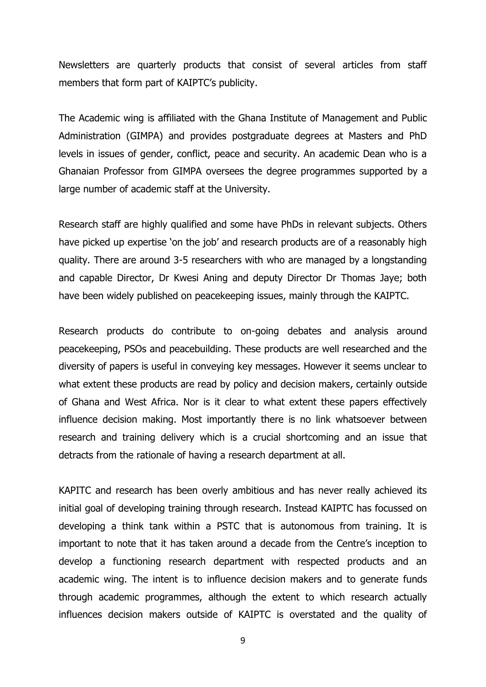Newsletters are quarterly products that consist of several articles from staff members that form part of KAIPTC's publicity.

The Academic wing is affiliated with the Ghana Institute of Management and Public Administration (GIMPA) and provides postgraduate degrees at Masters and PhD levels in issues of gender, conflict, peace and security. An academic Dean who is a Ghanaian Professor from GIMPA oversees the degree programmes supported by a large number of academic staff at the University.

Research staff are highly qualified and some have PhDs in relevant subjects. Others have picked up expertise 'on the job' and research products are of a reasonably high quality. There are around 3-5 researchers with who are managed by a longstanding and capable Director, Dr Kwesi Aning and deputy Director Dr Thomas Jaye; both have been widely published on peacekeeping issues, mainly through the KAIPTC.

Research products do contribute to on-going debates and analysis around peacekeeping, PSOs and peacebuilding. These products are well researched and the diversity of papers is useful in conveying key messages. However it seems unclear to what extent these products are read by policy and decision makers, certainly outside of Ghana and West Africa. Nor is it clear to what extent these papers effectively influence decision making. Most importantly there is no link whatsoever between research and training delivery which is a crucial shortcoming and an issue that detracts from the rationale of having a research department at all.

KAPITC and research has been overly ambitious and has never really achieved its initial goal of developing training through research. Instead KAIPTC has focussed on developing a think tank within a PSTC that is autonomous from training. It is important to note that it has taken around a decade from the Centre's inception to develop a functioning research department with respected products and an academic wing. The intent is to influence decision makers and to generate funds through academic programmes, although the extent to which research actually influences decision makers outside of KAIPTC is overstated and the quality of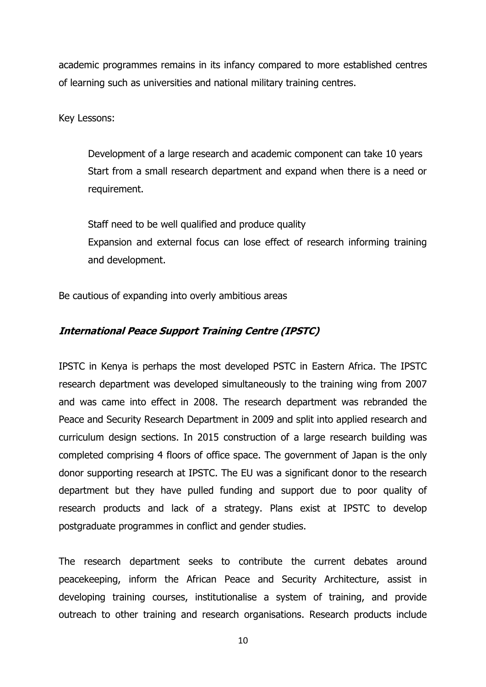academic programmes remains in its infancy compared to more established centres of learning such as universities and national military training centres.

Key Lessons:

Development of a large research and academic component can take 10 years Start from a small research department and expand when there is a need or requirement.

Staff need to be well qualified and produce quality Expansion and external focus can lose effect of research informing training and development.

Be cautious of expanding into overly ambitious areas

# **International Peace Support Training Centre (IPSTC)**

IPSTC in Kenya is perhaps the most developed PSTC in Eastern Africa. The IPSTC research department was developed simultaneously to the training wing from 2007 and was came into effect in 2008. The research department was rebranded the Peace and Security Research Department in 2009 and split into applied research and curriculum design sections. In 2015 construction of a large research building was completed comprising 4 floors of office space. The government of Japan is the only donor supporting research at IPSTC. The EU was a significant donor to the research department but they have pulled funding and support due to poor quality of research products and lack of a strategy. Plans exist at IPSTC to develop postgraduate programmes in conflict and gender studies.

The research department seeks to contribute the current debates around peacekeeping, inform the African Peace and Security Architecture, assist in developing training courses, institutionalise a system of training, and provide outreach to other training and research organisations. Research products include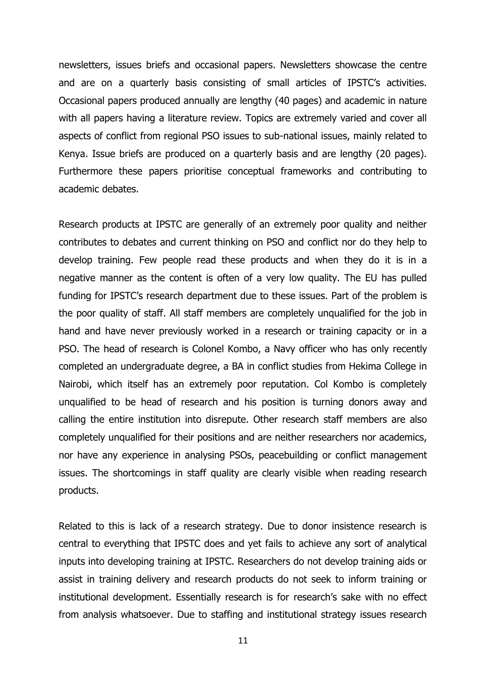newsletters, issues briefs and occasional papers. Newsletters showcase the centre and are on a quarterly basis consisting of small articles of IPSTC's activities. Occasional papers produced annually are lengthy (40 pages) and academic in nature with all papers having a literature review. Topics are extremely varied and cover all aspects of conflict from regional PSO issues to sub-national issues, mainly related to Kenya. Issue briefs are produced on a quarterly basis and are lengthy (20 pages). Furthermore these papers prioritise conceptual frameworks and contributing to academic debates.

Research products at IPSTC are generally of an extremely poor quality and neither contributes to debates and current thinking on PSO and conflict nor do they help to develop training. Few people read these products and when they do it is in a negative manner as the content is often of a very low quality. The EU has pulled funding for IPSTC's research department due to these issues. Part of the problem is the poor quality of staff. All staff members are completely unqualified for the job in hand and have never previously worked in a research or training capacity or in a PSO. The head of research is Colonel Kombo, a Navy officer who has only recently completed an undergraduate degree, a BA in conflict studies from Hekima College in Nairobi, which itself has an extremely poor reputation. Col Kombo is completely unqualified to be head of research and his position is turning donors away and calling the entire institution into disrepute. Other research staff members are also completely unqualified for their positions and are neither researchers nor academics, nor have any experience in analysing PSOs, peacebuilding or conflict management issues. The shortcomings in staff quality are clearly visible when reading research products.

Related to this is lack of a research strategy. Due to donor insistence research is central to everything that IPSTC does and yet fails to achieve any sort of analytical inputs into developing training at IPSTC. Researchers do not develop training aids or assist in training delivery and research products do not seek to inform training or institutional development. Essentially research is for research's sake with no effect from analysis whatsoever. Due to staffing and institutional strategy issues research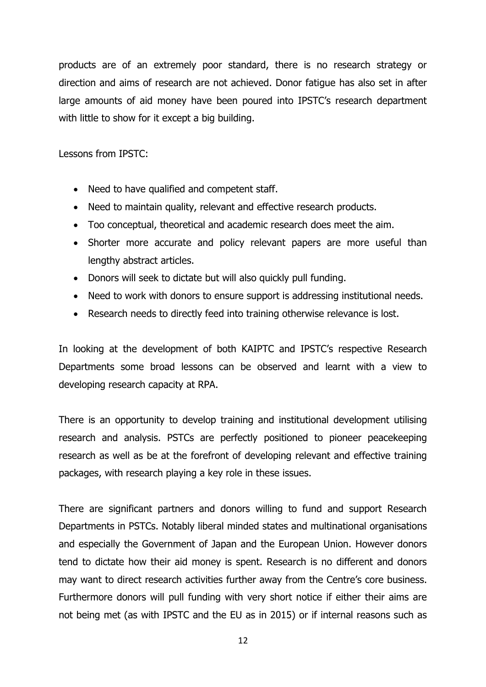products are of an extremely poor standard, there is no research strategy or direction and aims of research are not achieved. Donor fatigue has also set in after large amounts of aid money have been poured into IPSTC's research department with little to show for it except a big building.

Lessons from IPSTC:

- Need to have qualified and competent staff.
- Need to maintain quality, relevant and effective research products.
- Too conceptual, theoretical and academic research does meet the aim.
- Shorter more accurate and policy relevant papers are more useful than lengthy abstract articles.
- Donors will seek to dictate but will also quickly pull funding.
- Need to work with donors to ensure support is addressing institutional needs.
- Research needs to directly feed into training otherwise relevance is lost.

In looking at the development of both KAIPTC and IPSTC's respective Research Departments some broad lessons can be observed and learnt with a view to developing research capacity at RPA.

There is an opportunity to develop training and institutional development utilising research and analysis. PSTCs are perfectly positioned to pioneer peacekeeping research as well as be at the forefront of developing relevant and effective training packages, with research playing a key role in these issues.

There are significant partners and donors willing to fund and support Research Departments in PSTCs. Notably liberal minded states and multinational organisations and especially the Government of Japan and the European Union. However donors tend to dictate how their aid money is spent. Research is no different and donors may want to direct research activities further away from the Centre's core business. Furthermore donors will pull funding with very short notice if either their aims are not being met (as with IPSTC and the EU as in 2015) or if internal reasons such as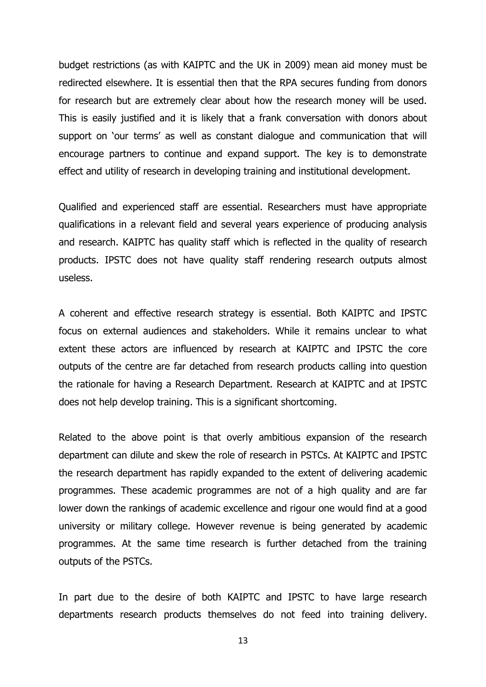budget restrictions (as with KAIPTC and the UK in 2009) mean aid money must be redirected elsewhere. It is essential then that the RPA secures funding from donors for research but are extremely clear about how the research money will be used. This is easily justified and it is likely that a frank conversation with donors about support on 'our terms' as well as constant dialogue and communication that will encourage partners to continue and expand support. The key is to demonstrate effect and utility of research in developing training and institutional development.

Qualified and experienced staff are essential. Researchers must have appropriate qualifications in a relevant field and several years experience of producing analysis and research. KAIPTC has quality staff which is reflected in the quality of research products. IPSTC does not have quality staff rendering research outputs almost useless.

A coherent and effective research strategy is essential. Both KAIPTC and IPSTC focus on external audiences and stakeholders. While it remains unclear to what extent these actors are influenced by research at KAIPTC and IPSTC the core outputs of the centre are far detached from research products calling into question the rationale for having a Research Department. Research at KAIPTC and at IPSTC does not help develop training. This is a significant shortcoming.

Related to the above point is that overly ambitious expansion of the research department can dilute and skew the role of research in PSTCs. At KAIPTC and IPSTC the research department has rapidly expanded to the extent of delivering academic programmes. These academic programmes are not of a high quality and are far lower down the rankings of academic excellence and rigour one would find at a good university or military college. However revenue is being generated by academic programmes. At the same time research is further detached from the training outputs of the PSTCs.

In part due to the desire of both KAIPTC and IPSTC to have large research departments research products themselves do not feed into training delivery.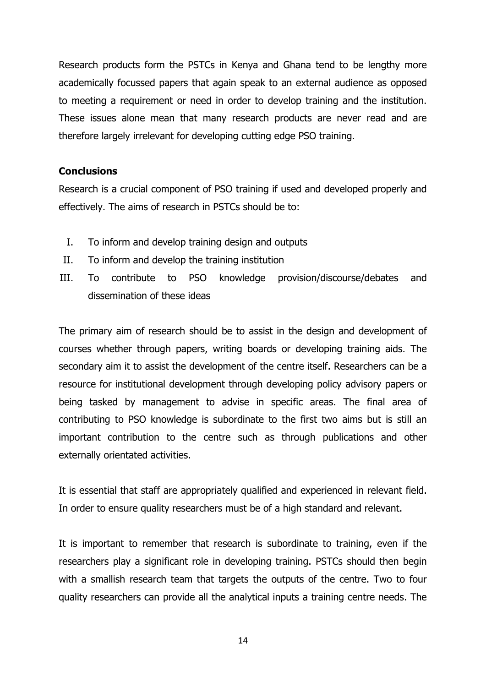Research products form the PSTCs in Kenya and Ghana tend to be lengthy more academically focussed papers that again speak to an external audience as opposed to meeting a requirement or need in order to develop training and the institution. These issues alone mean that many research products are never read and are therefore largely irrelevant for developing cutting edge PSO training.

# **Conclusions**

Research is a crucial component of PSO training if used and developed properly and effectively. The aims of research in PSTCs should be to:

- I. To inform and develop training design and outputs
- II. To inform and develop the training institution
- III. To contribute to PSO knowledge provision/discourse/debates and dissemination of these ideas

The primary aim of research should be to assist in the design and development of courses whether through papers, writing boards or developing training aids. The secondary aim it to assist the development of the centre itself. Researchers can be a resource for institutional development through developing policy advisory papers or being tasked by management to advise in specific areas. The final area of contributing to PSO knowledge is subordinate to the first two aims but is still an important contribution to the centre such as through publications and other externally orientated activities.

It is essential that staff are appropriately qualified and experienced in relevant field. In order to ensure quality researchers must be of a high standard and relevant.

It is important to remember that research is subordinate to training, even if the researchers play a significant role in developing training. PSTCs should then begin with a smallish research team that targets the outputs of the centre. Two to four quality researchers can provide all the analytical inputs a training centre needs. The